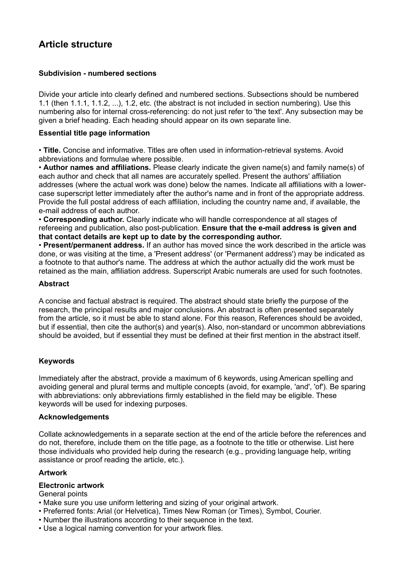# **Article structure**

## **Subdivision - numbered sections**

Divide your article into clearly defined and numbered sections. Subsections should be numbered 1.1 (then 1.1.1, 1.1.2, ...), 1.2, etc. (the abstract is not included in section numbering). Use this numbering also for internal cross-referencing: do not just refer to 'the text'. Any subsection may be given a brief heading. Each heading should appear on its own separate line.

## **Essential title page information**

• **Title.** Concise and informative. Titles are often used in information-retrieval systems. Avoid abbreviations and formulae where possible.

• **Author names and affiliations.** Please clearly indicate the given name(s) and family name(s) of each author and check that all names are accurately spelled. Present the authors' affiliation addresses (where the actual work was done) below the names. Indicate all affiliations with a lowercase superscript letter immediately after the author's name and in front of the appropriate address. Provide the full postal address of each affiliation, including the country name and, if available, the e-mail address of each author.

• **Corresponding author.** Clearly indicate who will handle correspondence at all stages of refereeing and publication, also post-publication. **Ensure that the e-mail address is given and that contact details are kept up to date by the corresponding author.**

• **Present/permanent address.** If an author has moved since the work described in the article was done, or was visiting at the time, a 'Present address' (or 'Permanent address') may be indicated as a footnote to that author's name. The address at which the author actually did the work must be retained as the main, affiliation address. Superscript Arabic numerals are used for such footnotes.

## **Abstract**

A concise and factual abstract is required. The abstract should state briefly the purpose of the research, the principal results and major conclusions. An abstract is often presented separately from the article, so it must be able to stand alone. For this reason, References should be avoided, but if essential, then cite the author(s) and year(s). Also, non-standard or uncommon abbreviations should be avoided, but if essential they must be defined at their first mention in the abstract itself.

## **Keywords**

Immediately after the abstract, provide a maximum of 6 keywords, using American spelling and avoiding general and plural terms and multiple concepts (avoid, for example, 'and', 'of'). Be sparing with abbreviations: only abbreviations firmly established in the field may be eligible. These keywords will be used for indexing purposes.

## **Acknowledgements**

Collate acknowledgements in a separate section at the end of the article before the references and do not, therefore, include them on the title page, as a footnote to the title or otherwise. List here those individuals who provided help during the research (e.g., providing language help, writing assistance or proof reading the article, etc.).

## **Artwork**

## **Electronic artwork**

General points

- Make sure you use uniform lettering and sizing of your original artwork.
- Preferred fonts: Arial (or Helvetica), Times New Roman (or Times), Symbol, Courier.
- Number the illustrations according to their sequence in the text.
- Use a logical naming convention for your artwork files.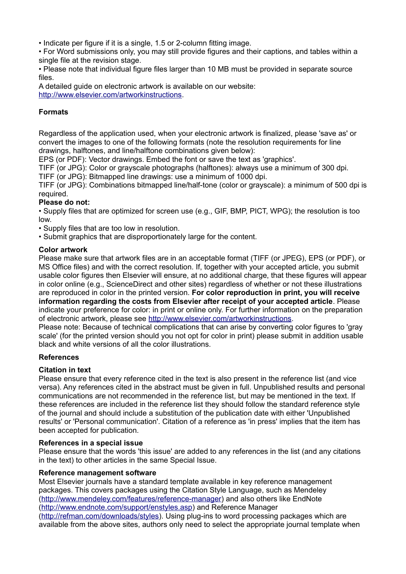• Indicate per figure if it is a single, 1.5 or 2-column fitting image.

• For Word submissions only, you may still provide figures and their captions, and tables within a single file at the revision stage.

• Please note that individual figure files larger than 10 MB must be provided in separate source files.

A detailed guide on electronic artwork is available on our website: [http://www.elsevier.com/artworkinstructions.](http://www.elsevier.com/artworkinstructions)

## **Formats**

Regardless of the application used, when your electronic artwork is finalized, please 'save as' or convert the images to one of the following formats (note the resolution requirements for line drawings, halftones, and line/halftone combinations given below):

EPS (or PDF): Vector drawings. Embed the font or save the text as 'graphics'.

TIFF (or JPG): Color or grayscale photographs (halftones): always use a minimum of 300 dpi.

TIFF (or JPG): Bitmapped line drawings: use a minimum of 1000 dpi.

TIFF (or JPG): Combinations bitmapped line/half-tone (color or grayscale): a minimum of 500 dpi is required.

## **Please do not:**

• Supply files that are optimized for screen use (e.g., GIF, BMP, PICT, WPG); the resolution is too low.

• Supply files that are too low in resolution.

• Submit graphics that are disproportionately large for the content.

## **Color artwork**

Please make sure that artwork files are in an acceptable format (TIFF (or JPEG), EPS (or PDF), or MS Office files) and with the correct resolution. If, together with your accepted article, you submit usable color figures then Elsevier will ensure, at no additional charge, that these figures will appear in color online (e.g., ScienceDirect and other sites) regardless of whether or not these illustrations are reproduced in color in the printed version. **For color reproduction in print, you will receive information regarding the costs from Elsevier after receipt of your accepted article**. Please indicate your preference for color: in print or online only. For further information on the preparation of electronic artwork, please see [http://www.elsevier.com/artworkinstructions.](http://www.elsevier.com/artworkinstructions)

Please note: Because of technical complications that can arise by converting color figures to 'gray scale' (for the printed version should you not opt for color in print) please submit in addition usable black and white versions of all the color illustrations.

## **References**

## **Citation in text**

Please ensure that every reference cited in the text is also present in the reference list (and vice versa). Any references cited in the abstract must be given in full. Unpublished results and personal communications are not recommended in the reference list, but may be mentioned in the text. If these references are included in the reference list they should follow the standard reference style of the journal and should include a substitution of the publication date with either 'Unpublished results' or 'Personal communication'. Citation of a reference as 'in press' implies that the item has been accepted for publication.

## **References in a special issue**

Please ensure that the words 'this issue' are added to any references in the list (and any citations in the text) to other articles in the same Special Issue.

## **Reference management software**

Most Elsevier journals have a standard template available in key reference management packages. This covers packages using the Citation Style Language, such as Mendeley [\(http://www.mendeley.com/features/reference-manager\)](http://www.mendeley.com/features/reference-manager) and also others like EndNote [\(http://www.endnote.com/support/enstyles.asp\)](http://www.endnote.com/support/enstyles.asp) and Reference Manager [\(http://refman.com/downloads/styles\)](http://refman.com/downloads/styles). Using plug-ins to word processing packages which are available from the above sites, authors only need to select the appropriate journal template when